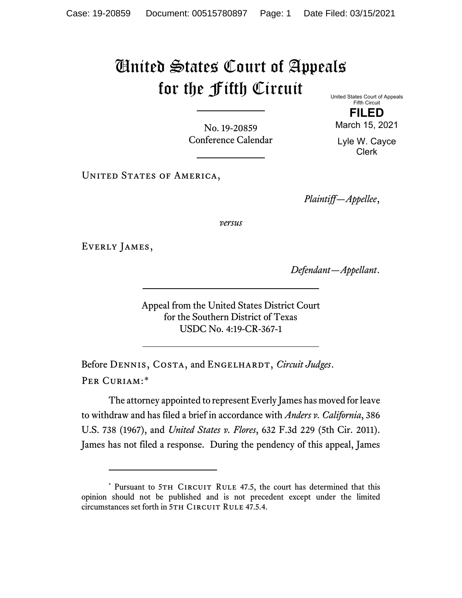## United States Court of Appeals for the Fifth Circuit

No. 19-20859 Conference Calendar United States Court of Appeals Fifth Circuit

**FILED** March 15, 2021

Lyle W. Cayce Clerk

UNITED STATES OF AMERICA,

*Plaintiff—Appellee*,

*versus*

EVERLY JAMES,

*Defendant—Appellant*.

Appeal from the United States District Court for the Southern District of Texas USDC No. 4:19-CR-367-1

Before DENNIS, COSTA, and ENGELHARDT, *Circuit Judges*. Per Curiam:[\\*](#page-0-0)

The attorney appointed to represent Everly James has moved for leave to withdraw and has filed a brief in accordance with *Anders v. California*, 386 U.S. 738 (1967), and *United States v. Flores*, 632 F.3d 229 (5th Cir. 2011). James has not filed a response. During the pendency of this appeal, James

<span id="page-0-0"></span><sup>\*</sup> Pursuant to 5TH CIRCUIT RULE 47.5, the court has determined that this opinion should not be published and is not precedent except under the limited circumstances set forth in 5TH CIRCUIT RULE 47.5.4.